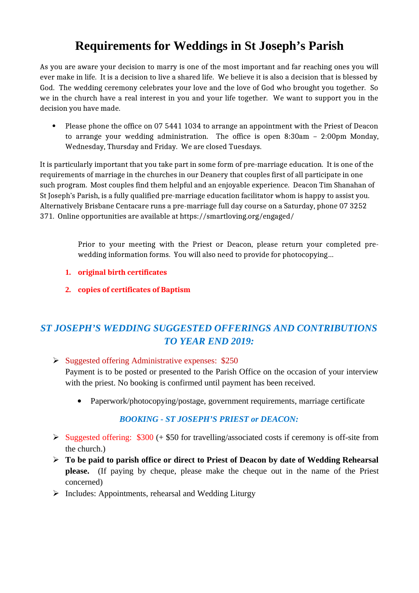# **Requirements for Weddings in St Joseph's Parish**

As you are aware your decision to marry is one of the most important and far reaching ones you will ever make in life. It is a decision to live a shared life. We believe it is also a decision that is blessed by God. The wedding ceremony celebrates your love and the love of God who brought you together. So we in the church have a real interest in you and your life together. We want to support you in the decision you have made.

• Please phone the office on 07 5441 1034 to arrange an appointment with the Priest of Deacon to arrange your wedding administration. The office is open 8:30am – 2:00pm Monday, Wednesday, Thursday and Friday. We are closed Tuesdays.

It is particularly important that you take part in some form of pre-marriage education. It is one of the requirements of marriage in the churches in our Deanery that couples first of all participate in one such program. Most couples find them helpful and an enjoyable experience. Deacon Tim Shanahan of St Joseph's Parish, is a fully qualified pre-marriage education facilitator whom is happy to assist you. Alternatively Brisbane Centacare runs a pre-marriage full day course on a Saturday, phone 07 3252 371. Online opportunities are available at https://smartloving.org/engaged/

> Prior to your meeting with the Priest or Deacon, please return your completed prewedding information forms. You will also need to provide for photocopying…

- **1. original birth certificates**
- **2. copies of certificates of Baptism**

## *ST JOSEPH'S WEDDING SUGGESTED OFFERINGS AND CONTRIBUTIONS TO YEAR END 2019:*

Suggested offering Administrative expenses: \$250

Payment is to be posted or presented to the Parish Office on the occasion of your interview with the priest. No booking is confirmed until payment has been received.

Paperwork/photocopying/postage, government requirements, marriage certificate

### *BOOKING - ST JOSEPH'S PRIEST or DEACON:*

- $\triangleright$  Suggested offering: \$300 (+ \$50 for travelling/associated costs if ceremony is off-site from the church.)
- **To be paid to parish office or direct to Priest of Deacon by date of Wedding Rehearsal please.** (If paying by cheque, please make the cheque out in the name of the Priest concerned)
- $\triangleright$  Includes: Appointments, rehearsal and Wedding Liturgy